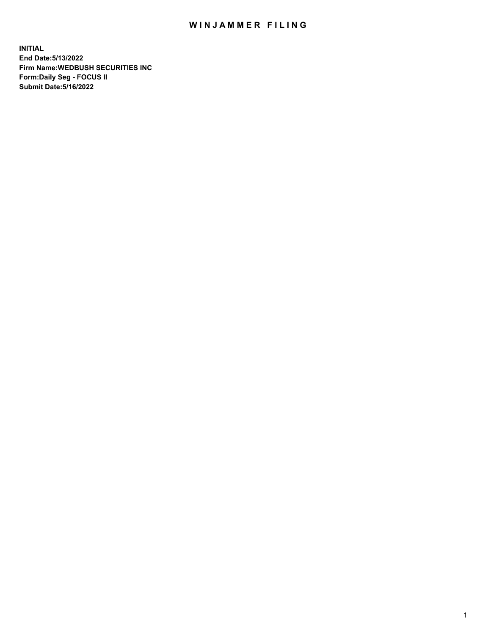## WIN JAMMER FILING

**INITIAL End Date:5/13/2022 Firm Name:WEDBUSH SECURITIES INC Form:Daily Seg - FOCUS II Submit Date:5/16/2022**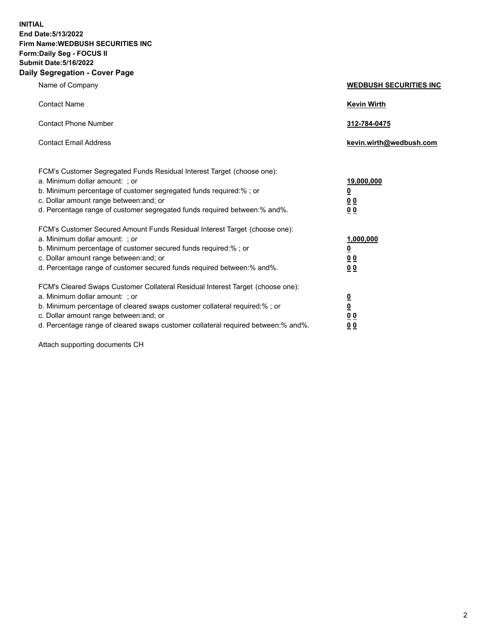**INITIAL End Date:5/13/2022 Firm Name:WEDBUSH SECURITIES INC Form:Daily Seg - FOCUS II Submit Date:5/16/2022 Daily Segregation - Cover Page**

| Name of Company                                                                                                                                                                                                                                                                                        | <b>WEDBUSH SECURITIES INC</b>                        |  |
|--------------------------------------------------------------------------------------------------------------------------------------------------------------------------------------------------------------------------------------------------------------------------------------------------------|------------------------------------------------------|--|
| <b>Contact Name</b>                                                                                                                                                                                                                                                                                    | <b>Kevin Wirth</b>                                   |  |
| <b>Contact Phone Number</b>                                                                                                                                                                                                                                                                            | 312-784-0475                                         |  |
| <b>Contact Email Address</b>                                                                                                                                                                                                                                                                           | kevin.wirth@wedbush.com                              |  |
| FCM's Customer Segregated Funds Residual Interest Target (choose one):<br>a. Minimum dollar amount: ; or<br>b. Minimum percentage of customer segregated funds required:% ; or<br>c. Dollar amount range between: and; or<br>d. Percentage range of customer segregated funds required between:% and%. | 19,000,000<br><u>0</u><br>00<br>0 <sub>0</sub>       |  |
| FCM's Customer Secured Amount Funds Residual Interest Target (choose one):<br>a. Minimum dollar amount: ; or<br>b. Minimum percentage of customer secured funds required:%; or<br>c. Dollar amount range between: and; or<br>d. Percentage range of customer secured funds required between: % and %.  | 1,000,000<br><u>0</u><br><u>00</u><br>0 <sub>0</sub> |  |
| FCM's Cleared Swaps Customer Collateral Residual Interest Target (choose one):<br>a. Minimum dollar amount: ; or<br>b. Minimum percentage of cleared swaps customer collateral required:%; or<br>c. Dollar amount range between: and; or                                                               | $\frac{0}{0}$<br>0 <sub>0</sub>                      |  |

d. Percentage range of cleared swaps customer collateral required between:% and%. **0 0**

Attach supporting documents CH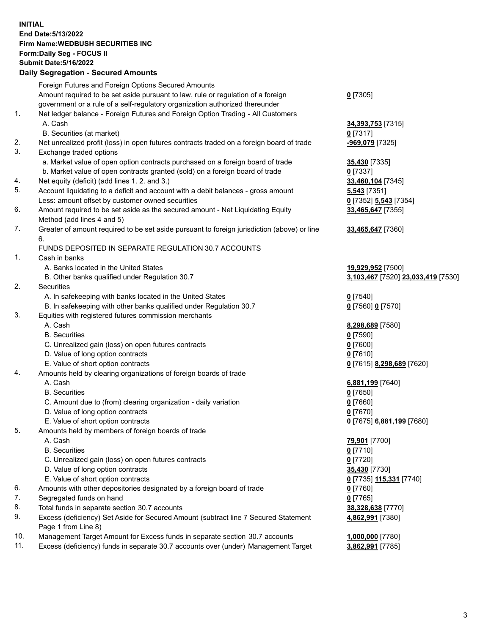**INITIAL End Date:5/13/2022 Firm Name:WEDBUSH SECURITIES INC Form:Daily Seg - FOCUS II Submit Date:5/16/2022 Daily Segregation - Secured Amounts**

|     | 2011, Ocgi ogation - Oceanea Anioanita                                                      |                                    |
|-----|---------------------------------------------------------------------------------------------|------------------------------------|
|     | Foreign Futures and Foreign Options Secured Amounts                                         |                                    |
|     | Amount required to be set aside pursuant to law, rule or regulation of a foreign            | $0$ [7305]                         |
|     | government or a rule of a self-regulatory organization authorized thereunder                |                                    |
| 1.  | Net ledger balance - Foreign Futures and Foreign Option Trading - All Customers             |                                    |
|     | A. Cash                                                                                     | 34,393,753 [7315]                  |
|     | B. Securities (at market)                                                                   | $0$ [7317]                         |
| 2.  | Net unrealized profit (loss) in open futures contracts traded on a foreign board of trade   | -969,079 [7325]                    |
| 3.  | Exchange traded options                                                                     |                                    |
|     | a. Market value of open option contracts purchased on a foreign board of trade              | 35,430 [7335]                      |
|     | b. Market value of open contracts granted (sold) on a foreign board of trade                | $0$ [7337]                         |
| 4.  | Net equity (deficit) (add lines 1. 2. and 3.)                                               | 33,460,104 [7345]                  |
| 5.  | Account liquidating to a deficit and account with a debit balances - gross amount           | $5,543$ [7351]                     |
|     | Less: amount offset by customer owned securities                                            | 0 [7352] 5,543 [7354]              |
| 6.  | Amount required to be set aside as the secured amount - Net Liquidating Equity              | 33,465,647 [7355]                  |
|     | Method (add lines 4 and 5)                                                                  |                                    |
| 7.  | Greater of amount required to be set aside pursuant to foreign jurisdiction (above) or line | 33,465,647 [7360]                  |
|     | 6.                                                                                          |                                    |
|     | FUNDS DEPOSITED IN SEPARATE REGULATION 30.7 ACCOUNTS                                        |                                    |
| 1.  | Cash in banks                                                                               |                                    |
|     | A. Banks located in the United States                                                       | 19,929,952 [7500]                  |
|     | B. Other banks qualified under Regulation 30.7                                              | 3,103,467 [7520] 23,033,419 [7530] |
| 2.  | Securities                                                                                  |                                    |
|     | A. In safekeeping with banks located in the United States                                   | $0$ [7540]                         |
|     | B. In safekeeping with other banks qualified under Regulation 30.7                          | 0 [7560] 0 [7570]                  |
| 3.  | Equities with registered futures commission merchants                                       |                                    |
|     | A. Cash                                                                                     | 8,298,689 [7580]                   |
|     | <b>B.</b> Securities                                                                        | $0$ [7590]                         |
|     | C. Unrealized gain (loss) on open futures contracts                                         | $0$ [7600]                         |
|     | D. Value of long option contracts                                                           | $0$ [7610]                         |
|     | E. Value of short option contracts                                                          | 0 [7615] 8,298,689 [7620]          |
| 4.  | Amounts held by clearing organizations of foreign boards of trade                           |                                    |
|     | A. Cash                                                                                     | 6,881,199 [7640]                   |
|     | <b>B.</b> Securities                                                                        | $0$ [7650]                         |
|     | C. Amount due to (from) clearing organization - daily variation                             | $0$ [7660]                         |
|     | D. Value of long option contracts                                                           | $0$ [7670]                         |
|     | E. Value of short option contracts                                                          | 0 [7675] 6,881,199 [7680]          |
| 5.  | Amounts held by members of foreign boards of trade                                          |                                    |
|     | A. Cash                                                                                     | 79,901 [7700]                      |
|     | <b>B.</b> Securities                                                                        | $0$ [7710]                         |
|     | C. Unrealized gain (loss) on open futures contracts                                         | <u>0</u> [7720]                    |
|     | D. Value of long option contracts                                                           | 35,430 [7730]                      |
|     | E. Value of short option contracts                                                          | 0 [7735] 115,331 [7740]            |
| 6.  | Amounts with other depositories designated by a foreign board of trade                      | $0$ [7760]                         |
| 7.  | Segregated funds on hand                                                                    | $0$ [7765]                         |
| 8.  | Total funds in separate section 30.7 accounts                                               | 38,328,638 [7770]                  |
| 9.  | Excess (deficiency) Set Aside for Secured Amount (subtract line 7 Secured Statement         | 4,862,991 [7380]                   |
| 10. | Page 1 from Line 8)                                                                         |                                    |
| 11. | Management Target Amount for Excess funds in separate section 30.7 accounts                 | 1,000,000 [7780]                   |
|     | Excess (deficiency) funds in separate 30.7 accounts over (under) Management Target          | 3,862,991 [7785]                   |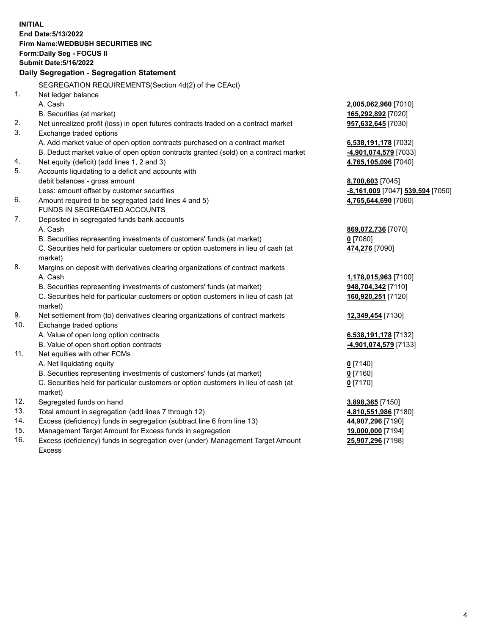|     | <b>INITIAL</b><br>End Date: 5/13/2022<br><b>Firm Name: WEDBUSH SECURITIES INC</b>              |                                            |
|-----|------------------------------------------------------------------------------------------------|--------------------------------------------|
|     | Form: Daily Seg - FOCUS II                                                                     |                                            |
|     | <b>Submit Date: 5/16/2022</b>                                                                  |                                            |
|     | Daily Segregation - Segregation Statement                                                      |                                            |
|     | SEGREGATION REQUIREMENTS(Section 4d(2) of the CEAct)                                           |                                            |
| 1.  | Net ledger balance                                                                             |                                            |
|     | A. Cash                                                                                        | 2,005,062,960 [7010]                       |
|     | B. Securities (at market)                                                                      | 165,292,892 [7020]                         |
| 2.  | Net unrealized profit (loss) in open futures contracts traded on a contract market             | 957,632,645 [7030]                         |
| 3.  | Exchange traded options                                                                        |                                            |
|     | A. Add market value of open option contracts purchased on a contract market                    | 6,538,191,178 [7032]                       |
|     | B. Deduct market value of open option contracts granted (sold) on a contract market            | -4,901,074,579 [7033]                      |
| 4.  | Net equity (deficit) (add lines 1, 2 and 3)                                                    | 4,765,105,096 [7040]                       |
| 5.  | Accounts liquidating to a deficit and accounts with                                            |                                            |
|     | debit balances - gross amount                                                                  | 8,700,603 [7045]                           |
|     | Less: amount offset by customer securities                                                     | -8,161,009 [7047] 539,594 [7050]           |
| 6.  | Amount required to be segregated (add lines 4 and 5)                                           | 4,765,644,690 [7060]                       |
|     | FUNDS IN SEGREGATED ACCOUNTS                                                                   |                                            |
| 7.  | Deposited in segregated funds bank accounts                                                    |                                            |
|     | A. Cash                                                                                        | 869,072,736 [7070]                         |
|     | B. Securities representing investments of customers' funds (at market)                         | $0$ [7080]                                 |
|     | C. Securities held for particular customers or option customers in lieu of cash (at<br>market) | 474,276 [7090]                             |
| 8.  | Margins on deposit with derivatives clearing organizations of contract markets                 |                                            |
|     | A. Cash                                                                                        |                                            |
|     | B. Securities representing investments of customers' funds (at market)                         | 1,178,015,963 [7100]<br>948,704,342 [7110] |
|     | C. Securities held for particular customers or option customers in lieu of cash (at            | 160,920,251 [7120]                         |
|     | market)                                                                                        |                                            |
| 9.  | Net settlement from (to) derivatives clearing organizations of contract markets                | 12,349,454 [7130]                          |
| 10. | Exchange traded options                                                                        |                                            |
|     | A. Value of open long option contracts                                                         | 6,538,191,178 [7132]                       |
|     | B. Value of open short option contracts                                                        | -4,901,074,579 [7133]                      |
| 11. | Net equities with other FCMs                                                                   |                                            |
|     | A. Net liquidating equity                                                                      | $0$ [7140]                                 |
|     | B. Securities representing investments of customers' funds (at market)                         | $0$ [7160]                                 |
|     | C. Securities held for particular customers or option customers in lieu of cash (at            | $0$ [7170]                                 |
|     | market)                                                                                        |                                            |
| 12. | Segregated funds on hand                                                                       | 3,898,365 [7150]                           |
| 13. | Total amount in segregation (add lines 7 through 12)                                           | 4,810,551,986 [7180]                       |
| 14. | Excess (deficiency) funds in segregation (subtract line 6 from line 13)                        | 44,907,296 [7190]                          |
| 15. | Management Target Amount for Excess funds in segregation                                       | 19,000,000 [7194]                          |
|     |                                                                                                |                                            |

16. Excess (deficiency) funds in segregation over (under) Management Target Amount Excess

**25,907,296** [7198]